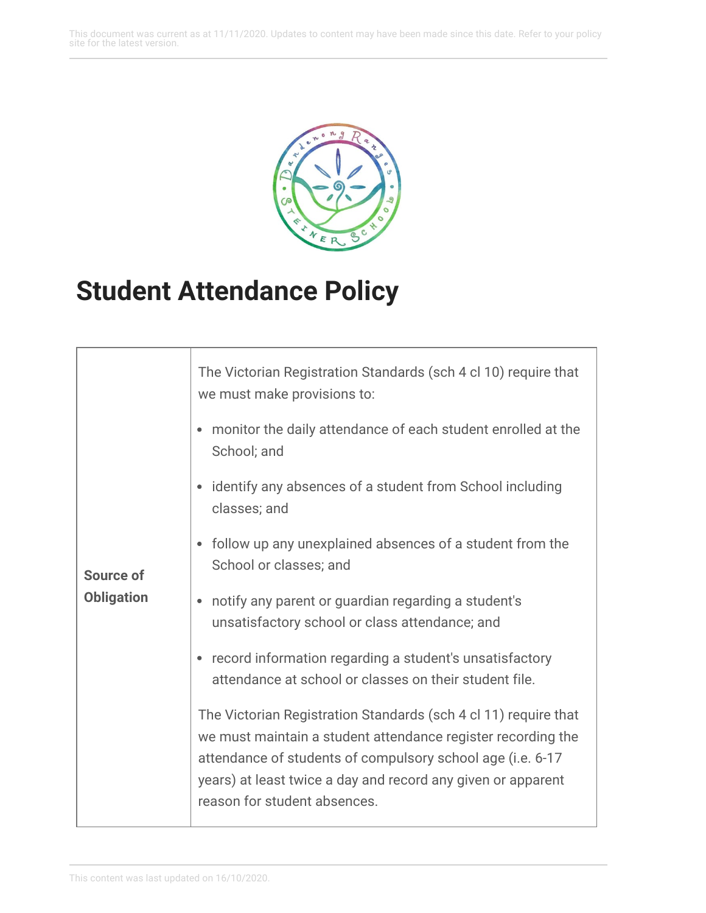This document was current as at 11/11/2020. Updates to content may have been made since this date. Refer to your policy site for the latest version.



## **Student Attendance Policy**

| <b>Source of</b><br><b>Obligation</b> | The Victorian Registration Standards (sch 4 cl 10) require that<br>we must make provisions to:                                                                                                                                                                                                |
|---------------------------------------|-----------------------------------------------------------------------------------------------------------------------------------------------------------------------------------------------------------------------------------------------------------------------------------------------|
|                                       | monitor the daily attendance of each student enrolled at the<br>School; and                                                                                                                                                                                                                   |
|                                       | identify any absences of a student from School including<br>$\bullet$<br>classes; and                                                                                                                                                                                                         |
|                                       | follow up any unexplained absences of a student from the<br>School or classes; and                                                                                                                                                                                                            |
|                                       | notify any parent or guardian regarding a student's<br>unsatisfactory school or class attendance; and                                                                                                                                                                                         |
|                                       | record information regarding a student's unsatisfactory<br>attendance at school or classes on their student file.                                                                                                                                                                             |
|                                       | The Victorian Registration Standards (sch 4 cl 11) require that<br>we must maintain a student attendance register recording the<br>attendance of students of compulsory school age (i.e. 6-17<br>years) at least twice a day and record any given or apparent<br>reason for student absences. |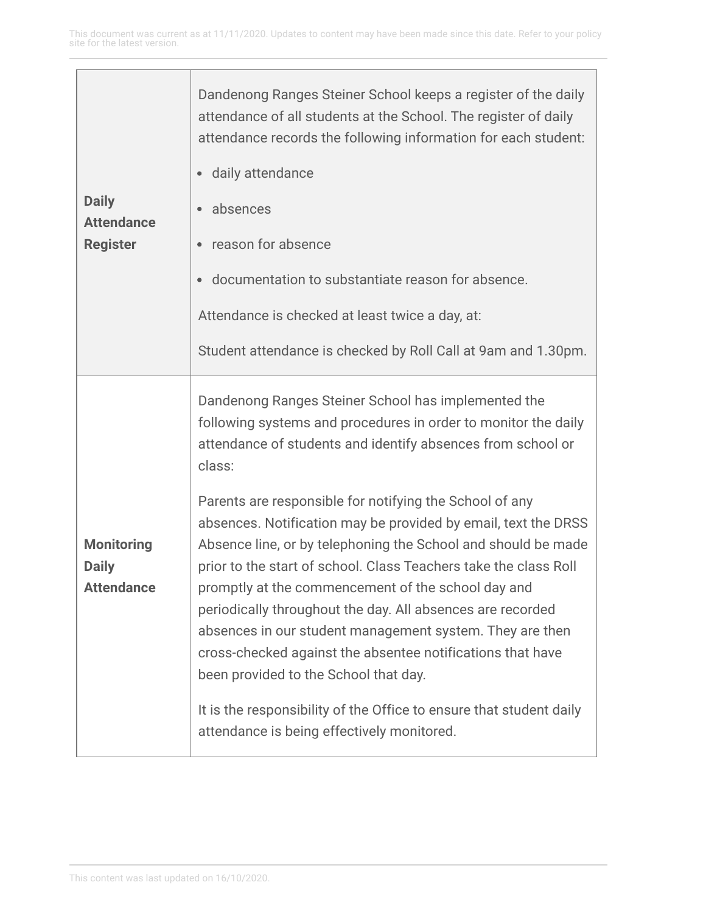| <b>Daily</b><br><b>Attendance</b><br><b>Register</b> | Dandenong Ranges Steiner School keeps a register of the daily<br>attendance of all students at the School. The register of daily<br>attendance records the following information for each student:<br>· daily attendance<br>absences<br>reason for absence<br>documentation to substantiate reason for absence.<br>Attendance is checked at least twice a day, at:<br>Student attendance is checked by Roll Call at 9am and 1.30pm.                                                                                                                                                                                                                                                                                                                                                                                                                                          |
|------------------------------------------------------|------------------------------------------------------------------------------------------------------------------------------------------------------------------------------------------------------------------------------------------------------------------------------------------------------------------------------------------------------------------------------------------------------------------------------------------------------------------------------------------------------------------------------------------------------------------------------------------------------------------------------------------------------------------------------------------------------------------------------------------------------------------------------------------------------------------------------------------------------------------------------|
| <b>Monitoring</b><br><b>Daily</b><br>Attendance      | Dandenong Ranges Steiner School has implemented the<br>following systems and procedures in order to monitor the daily<br>attendance of students and identify absences from school or<br>class:<br>Parents are responsible for notifying the School of any<br>absences. Notification may be provided by email, text the DRSS<br>Absence line, or by telephoning the School and should be made<br>prior to the start of school. Class Teachers take the class Roll<br>promptly at the commencement of the school day and<br>periodically throughout the day. All absences are recorded<br>absences in our student management system. They are then<br>cross-checked against the absentee notifications that have<br>been provided to the School that day.<br>It is the responsibility of the Office to ensure that student daily<br>attendance is being effectively monitored. |